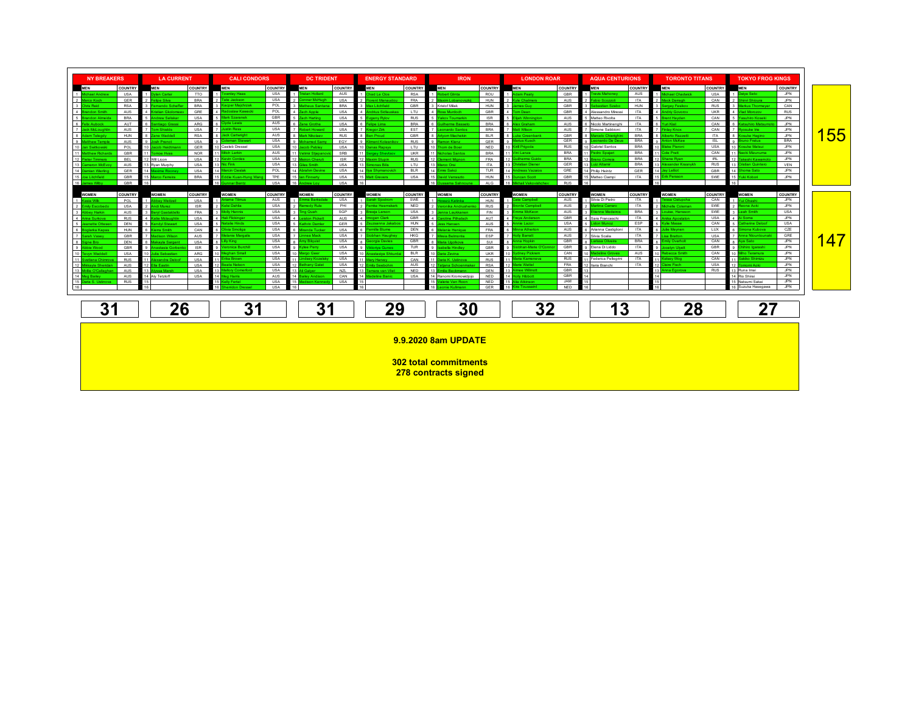| <b>NY BREAKERS</b><br><b>LA CURRENT</b> |                             |                   |                               | <b>CALI CONDORS</b> |                                | <b>DC TRIDENT</b>        |                         | <b>ENERGY STANDARD</b>   |                                     | <b>IRON</b>       |                                               | <b>LONDON ROAR</b>       |                            | <b>AQUA CENTURIONS</b>   |                                         | <b>TORONTO TITANS</b>    |                          | <b>TOKYO FROG KINGS</b> |                                      |                   |     |
|-----------------------------------------|-----------------------------|-------------------|-------------------------------|---------------------|--------------------------------|--------------------------|-------------------------|--------------------------|-------------------------------------|-------------------|-----------------------------------------------|--------------------------|----------------------------|--------------------------|-----------------------------------------|--------------------------|--------------------------|-------------------------|--------------------------------------|-------------------|-----|
| <b>MEN</b>                              |                             | <b>COUNTRY</b>    | <b>MEN</b>                    | <b>COUNTRY</b>      | <b>MEN</b>                     | <b>COUNTRY</b>           | <b>MEN</b>              | <b>COUNTRY</b>           | <b>MEN</b>                          | <b>COUNTRY</b>    | <b>MEN</b>                                    | <b>COUNTRY</b>           | <b>MEN</b>                 | <b>COUNTRY</b>           | <b>MEN</b>                              | <b>COUNTRY</b>           | <b>MEN</b>               | <b>COUNTRY</b>          | <b>MEN</b>                           | <b>COUNTRY</b>    |     |
|                                         | 1 Michael Andrew            | <b>USA</b>        | 1 Dylan Carter                | <b>TTO</b>          | <b>Townley Haas</b><br>-1 L    | <b>USA</b>               | istan Hollard           | AUS                      | 1 Chad Le Clos                      | <b>RSA</b>        | Robert Glinta                                 | ROU                      | 1 Adam Peatv               | GBR                      | ravis Mahoney                           | AUS                      | <b>lichael Chadwick</b>  | <b>USA</b>              | 1 Daiya Seto                         | JPN               |     |
| 2 Marco Koch                            |                             | GER               | lipe Silva                    | <b>BRA</b>          | te Jackson                     | <b>USA</b>               | ner McHugh              | <b>USA</b>               | ant Manai                           | <b>FRA</b>        |                                               | HUN                      | <b>Kyle Chalmen</b>        | AUS                      | bio Scozzoli                            | <b>ITA</b>               | ck Darrach               | CAN                     | inri Shioura                         | <b>JPN</b>        |     |
| 3 Chris Reid                            |                             | <b>RSA</b>        | nando Scheffe                 | <b>BRA</b>          | cper Majchrzał<br>osław Kaweck | POL<br>POL               | theus Santan            | <b>BRA</b>               | lax Litchfield                      | <b>GBR</b>        | 3 Kristof Milak                               | <b>HUN</b>               | mes Guv                    | GBR                      | bastian Szabo                           | <b>HUN</b>               | ev Fesikov               | <b>RUS</b>              | arkus Thormever                      | CAN               |     |
| 4 <br>ls <mark>F</mark>                 | ndon Smith<br>andon Almeida | AUS<br><b>BRA</b> | tian Gkolome<br>drew Seliskar | GRE<br><b>USA</b>   | ark Szaranel                   | GBR                      | h Annie<br>ch Harting   | <b>USA</b><br><b>USA</b> | drius Sidlaus<br>geny Rylov         | LTU<br><b>RUS</b> | s Murdoch<br>akov Toumarkin                   | <b>GBR</b><br><b>ISR</b> | m Dean<br>iah Winning      | GBR<br>AUS               | Nessandro Miressi<br>Matteo Rivolta     | <b>ITA</b><br><b>ITA</b> | nt Havden                | <b>UKR</b><br>CAN       | ad Morozov<br>ssuhiro Koseki         | RUS<br><b>JPN</b> |     |
| 6 Felix Aubock                          |                             | AUT               | tiano Grassi                  | ARG                 | de Lewis                       | AUS                      | ne Grothe               | <b>USA</b>               | Hipe Lima                           | <b>BRA</b>        | herme Rasset                                  | <b>BRA</b>               | ex Graham                  | AUS                      | Nicolo Martinenghi                      | <b>ITA</b>               | iri Kisil                | CAN                     | <b>Isuhim Matsur</b>                 | JPN               |     |
| 1 7 L                                   | ck McLoughl                 | AUS               | <b>Shields</b>                | <b>USA</b>          | stin Ress                      | <b>USA</b>               | art Hinuxo              | <b>USA</b>               | egor Zirk                           | <b>EST</b>        |                                               | <b>BRA</b>               |                            | AUS                      | Simone Sabbioni                         | <b>ITA</b>               |                          | CAN                     | suke Irie                            | JPN               |     |
| 8 Adam Telegdy                          |                             | HUN               | 8 Zane Waddell                | <b>RSA</b>          | ack Cartwright                 | AUS                      | ark Nikolaev            | <b>RUS</b>               | en Proud                            | GRR               | Ivom Machekin                                 | <b>BLR</b>               | uke Greenhank              | GBR                      | alo Chiariobi                           | <b>BRA</b>               | herto Razzetti           | <b>ITA</b>              | <b>R</b><br>suke Hagino              | <b>JPN</b>        | 55  |
| 9 Matthew Temple                        |                             | AUS               | sh Prenot                     | <b>USA</b>          | leman Stewart                  | <b>USA</b>               | amed Samy               | EGY                      | <b>Iment Kolesnik</b>               | <b>RUS</b>        | non Klenz                                     | <b>GER</b>               | <b>Irius Kusch</b>         | <b>GER</b>               | onardo De Deus                          | <b>BRA</b>               | ton McKee                | <b>ISL</b>              | uno Fratus                           | <b>BRA</b>        |     |
| 10 Jan Switkowski                       |                             | POL               | ob Heidt                      | GER                 | Caeleb Dressel                 | <b>USA</b>               | ob Peblev               | <b>USA</b>               | <b>188 Ransy</b>                    | LTU               | m de Boer                                     | <b>NED</b>               | Kiril Prigoda              | <b>RUS</b>               | Gabriel Santos                          | <b>BRA</b>               | ke Piemn                 | <b>USA</b>              | suke Matsu                           | JPN               |     |
|                                         | 11 Matthew Richards         | GBR               | omoe Hvas                     | <b>NOR</b>          | itch Larkin                    | AUS                      | imir Stiepano           | SRB                      | 11 <mark>k</mark><br>rgey Sheytsor  | <b>UKR</b>        | holas Santos                                  | <b>BRA</b>               | ni Lanza                   | <b>BRA</b>               | <b>Iro Spaiar</b>                       | <b>BRA</b>               | de Pratt                 | CAN                     | aoki Mizunuma                        | <b>JPN</b>        |     |
| 12 Pieter Timmers                       |                             | <b>BEL</b>        | 12 Will Licon                 | <b>USA</b>          | evin Cordes                    | <b>USA</b>               | on Cheruti              | <b>ISR</b>               | 12 Maxim Stupin                     | <b>RUS</b>        | ment Mianon                                   | <b>FRA</b>               | <b>ilherme Guido</b>       | <b>BRA</b>               | to Correia                              | <b>BRA</b>               | ane Ryan                 | IRL                     | keshi Kawamot                        | <b>JPN</b>        |     |
| 13c                                     | meron McEve                 | AUS               | 13 Rvan Murphy                | <b>USA</b>          | c Fink                         | <b>USA</b>               | e Smith                 | <b>USA</b>               | nonas Bilis                         | LTU               | izn Orsi                                      | ITA.                     | ristian Diener             | GER                      | iz Altamir                              | <b>BRA</b>               | vander Krasnykh          | <b>RUS</b>              | stian Quintero                       | VEN               |     |
| 14 Damian Wierling<br>15 Joe Litchfield |                             | GER               | sxime Rooney                  | <b>USA</b>          | rcin Cieslal                   | POL                      | rahm Devine             | <b>USA</b>               | 14 <b>Ilya Shymanovich</b>          | <b>BLR</b>        | mre Sakci                                     | TUR                      | dreas Vazaios              | GRE                      | Philip Heintz                           | GER                      | iv Leliot<br>rik Persson | GRR                     | Shoma Sato                           | JPN               |     |
| 16 James Wilby                          |                             | GBR<br>GBR        | wy Femeira<br>16              | <b>BRA</b>          | die Kuan-Hung W<br>16          | <b>TPE</b><br><b>USA</b> | <b>Finnerty</b>         | <b>USA</b><br><b>USA</b> | <b>III Grevers</b><br>1Ŕ.           | <b>USA</b>        | avid Verraszto<br>16                          | HUN<br><b>ALG</b>        | ncan Scott<br>1Ŕ           | <b>GBR</b><br><b>RUS</b> | Matteo Ciampi                           | <b>ITA</b>               |                          | SWE                     | fuki Kobori                          | JPN               |     |
|                                         |                             |                   |                               |                     |                                |                          |                         |                          |                                     |                   |                                               |                          |                            |                          |                                         |                          |                          |                         |                                      |                   |     |
| <b>WOMEN</b>                            |                             | <b>COUNTRY</b>    | <b>WOMEN</b>                  | COUNTRY             | <b>WOMEN</b>                   | <b>COUNTRY</b>           | <b>WOMEN</b>            | <b>COUNTRY</b>           | <b>WOMEN</b>                        | <b>COUNTRY</b>    | <b>WOMEN</b>                                  | <b>COUNTRY</b>           | <b>WOMEN</b>               | <b>COUNTRY</b>           | <b>WOMEN</b>                            | <b>COUNTRY</b>           | <b>WOMEN</b>             | <b>COUNTRY</b>          | <b>WOMEN</b>                         | <b>COUNTRY</b>    |     |
| 1 Kasia Wilk                            |                             | POL               | $\frac{1}{2}$<br>bev Weitzeil | <b>USA</b>          | 1 Ariame Titmus                | AUS                      | mma Barksdal            | <b>USA</b>               | <b>Sarah Siostrom</b>               | SWE               | <b>vri Katinka</b>                            | <b>HUN</b>               | Cate Campbell              | AUS                      | 1 Silvia Di Pietro                      | <b>ITA</b>               | essa Cielupcha           | CAN                     | 1 Yui Ohashi                         | <b>JPN</b>        |     |
| 2 Emily Escobedo                        |                             | <b>USA</b>        | ndi Murez                     | <b>ISR</b>          | Kelsi Dahlia                   | <b>USA</b>               | medy Rule               | PHI                      | emke Heemske                        | <b>NED</b>        | onika Andrushen                               | <b>RUS</b>               | nte Campbel                | AUS                      | na Carraro                              | <b>ITA</b>               | thelle Colemar           | SWE                     | 2 Reona Aoki                         | <b>JPN</b>        |     |
| $3 \text{ A}$                           | bev Harkin                  | AUS               | irvi Gastaldello              | FRA                 | Molly Hannis                   | <b>USA</b>               | ig Quah                 | SGP                      | eeja Larson                         | <b>USA</b>        | na Laukkanen                                  | <b>FIN</b>               | nma McKeon                 | AUS                      | enne Medeiros                           | <b>BRA</b>               | uise, Hansson            | SWE                     | 3 Leah Smith                         | <b>USA</b>        |     |
| 4 <sup>h</sup>                          | ina Surkova                 | <b>RUS</b>        | tie Mclaughlin                | <b>USA</b>          | <b>Hali Flickinger</b>         | <b>USA</b>               | ston Pickett            | AUS                      | ogen Clark                          | <b>GBR</b>        | ine Pilhatsch                                 | AUT                      | eva Andersor               | GBR                      | Sara Franceschi                         | <b>ITA</b>               |                          | <b>USA</b>              | Soma                                 | JPN               |     |
|                                         | 5 Jeanette Otteser          | DEN               | <b>Indvl Stewart</b>          | <b>USA</b>          | talie Hinds<br>ivia Smoliga    | <b>USA</b><br><b>USA</b> | thrin Demler            | GER                      | izsanna Jaka<br>mille Blume         | <b>HUN</b><br>DEN | s Hansen                                      | AUS                      | inie Lazor<br>nna Athertor | <b>USA</b><br>AUS        | lon Munoz<br>Arianna Castiglioni        | ESP<br><b>ITA</b>        | die Masse<br>ulie Meynen | CAN<br><b>LUX</b>       | therine Deloo<br>nona Kubova         | <b>USA</b><br>CZE |     |
| l 6 B<br>7 <sub>5</sub>                 | olarka Kapas                | HUN               | erra Smith                    | CAN<br>AUS          | anie Margal                    | <b>USA</b>               | anda Tucker<br>nea Mack | <b>USA</b><br><b>USA</b> | obhan Haugh                         | HKG               | <b>Janie Henigue</b>                          | <b>FRA</b><br>ESP        | olly Barratt               | AUS                      |                                         | <b>ITA</b>               |                          |                         | $\overline{z}$ JA<br>ina Ntountounal | GRE               |     |
| 8 Signe Bro                             | rah Vasey                   | GBR<br>DEN        | akayla Sargent                | <b>USA</b>          | Lilly King                     | <b>USA</b>               | my Bilguist             | <b>USA</b>               | orgia Davies                        | <b>GBR</b>        | laria Ugolkova                                | SUI                      | ina Hookin                 | GBR                      | Silvia Scalia<br><b>Inissa Oliveira</b> | <b>BRA</b>               | nily Overholt            | <b>USA</b><br>CAN       | a Ava Sato                           | JPN               | 147 |
| l 9 At                                  | bie Wood                    | GBR               | stasia Gorbe                  | <b>ISR</b>          | onica Burchill                 | <b>USA</b>               | lee Perry               | <b>USA</b>               |                                     | <b>TUR</b>        | ella Hindley                                  | <b>GBR</b>               | bhan-Marie O'Con           | GBR                      | Elena Di Liddo                          | <b>ITA</b>               | elyn Llivett             | GBR                     | g Chihiro Igarashi                   | <b>JPN</b>        |     |
| 10 Tevyn Waddell                        |                             | <b>USA</b>        | ia Sebastian                  | ARG                 | han Sma                        | <b>USA</b>               | <b>to Geer</b>          | <b>USA</b>               |                                     | <b>BLR</b>        | a Zevina                                      | <b>UKR</b>               | nev Pickren                | CAN                      |                                         | AUS                      | becca Smith              | CAN                     | ho Teramura                          | JPN               |     |
| l 11 Is                                 | etlana Chimro               | <b>RUS</b>        | lexandra Deloof               | <b>USA</b>          | 11 Erika Brown                 | <b>USA</b>               | dsey Kozelsł            | <b>USA</b>               | ry Harvey                           | CAN               | aria K. Ustinova                              | <b>RUS</b>               | aria Kameneya              | <b>RUS</b>               | Federica Pellegrini                     | <b>ITA</b>               | <b>Hsey Wog</b>          | CAN                     | kiko Shimizi                         | <b>JPN</b>        |     |
| 12 M                                    | kkayla Sherida              | AUS               | 12<br>lla Eastin              | <b>USA</b>          | ata Nelson                     | <b>USA</b>               | hany Galat              | <b>USA</b>               | 12 <sup>1</sup><br>nily Seebohm     | AUS               | ana Schoenma                                  | <b>RSA</b>               | trie Wattel                | FRA                      | llaria Bianchi                          | <b>ITA</b>               | aire Fisch               | <b>USA</b>              | momi Aoki                            | <b>JPN</b>        |     |
|                                         | 13 Molle O'Callagh          | AUS               | ssa Marst                     | <b>USA</b>          | ory Comerford                  | <b>USA</b>               |                         | NZL                      | 13 <mark>l'</mark><br>ara van Vliet | <b>NED</b>        |                                               | DEN                      | mee Willmott               | GBR                      |                                         |                          | na Egorova               | <b>RUS</b>              | 13 Runa Imai                         | JPN               |     |
| 14 Meg Bailey                           | 15 Daria S. Ustinova        | AUS<br><b>RUS</b> | 14 Aly Tetzioff               | <b>USA</b>          | lly Fertel                     | AUS<br><b>USA</b>        | son Kenner              | CAN<br><b>USA</b>        |                                     | <b>USA</b>        | 14 Ranomi Kromowidioio<br>15 Valerie Van Roon | NFD.<br><b>NED</b>       | 15 Alia Atkinson           | GBR<br>JAM               |                                         |                          |                          |                         | 14 Rio Shirai<br>15 Natsumi Sakai    | <b>JPN</b><br>JPN |     |
| 16                                      |                             |                   |                               |                     | don Dress                      | <b>USA</b>               |                         |                          |                                     |                   | inie Kullmann                                 | <b>GER</b>               | 16 Kira Toussain           | <b>NED</b>               |                                         |                          |                          |                         | 16 Suzuka Hasegawa                   | <b>JPN</b>        |     |
|                                         |                             |                   |                               |                     |                                |                          |                         |                          |                                     |                   |                                               |                          |                            |                          |                                         |                          |                          |                         |                                      |                   |     |
|                                         | 31                          |                   | 26                            |                     | 31                             |                          | 31                      |                          |                                     | 29                |                                               | 30                       |                            | 32                       |                                         | 13                       |                          | 28                      |                                      |                   |     |
|                                         | 27                          |                   |                               |                     |                                |                          |                         |                          |                                     |                   |                                               |                          |                            |                          |                                         |                          |                          |                         |                                      |                   |     |
|                                         |                             |                   |                               |                     |                                |                          |                         |                          |                                     |                   |                                               |                          |                            |                          |                                         |                          |                          |                         |                                      |                   |     |
|                                         |                             |                   |                               |                     |                                |                          |                         |                          |                                     |                   | 9.9.2020 8am UPDATE                           |                          |                            |                          |                                         |                          |                          |                         |                                      |                   |     |
|                                         |                             |                   |                               |                     |                                |                          |                         |                          |                                     |                   |                                               |                          |                            |                          |                                         |                          |                          |                         |                                      |                   |     |
|                                         |                             |                   |                               |                     |                                |                          |                         |                          |                                     |                   | <b>302 total commitments</b>                  |                          |                            |                          |                                         |                          |                          |                         |                                      |                   |     |
|                                         |                             |                   |                               |                     |                                |                          |                         |                          |                                     |                   |                                               |                          |                            |                          |                                         |                          |                          |                         |                                      |                   |     |
|                                         |                             |                   |                               |                     |                                |                          |                         |                          |                                     |                   | 278 contracts signed                          |                          |                            |                          |                                         |                          |                          |                         |                                      |                   |     |
|                                         |                             |                   |                               |                     |                                |                          |                         |                          |                                     |                   |                                               |                          |                            |                          |                                         |                          |                          |                         |                                      |                   |     |